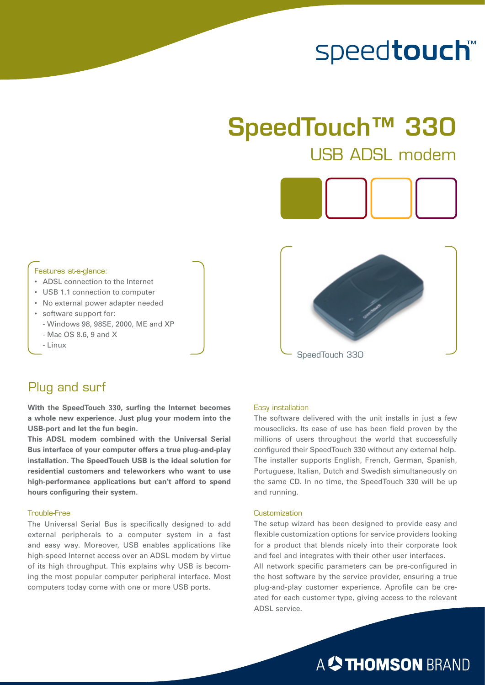# speedtouch™

# SpeedTouch™ 330 USB ADSL modem



### Features at-a-glance:

- ADSL connection to the Internet
- USB 1.1 connection to computer
- No external power adapter needed
- software support for: - Windows 98, 98SE, 2000, ME and XP
	-
	- Linux



### - Mac OS 8.6, 9 and X



### Plug and surf

**With the SpeedTouch 330, surfing the Internet becomes a whole new experience. Just plug your modem into the USB-port and let the fun begin.** 

**This ADSL modem combined with the Universal Serial Bus interface of your computer offers a true plug-and-play installation. The SpeedTouch USB is the ideal solution for residential customers and teleworkers who want to use high-performance applications but can't afford to spend hours configuring their system.** 

### Trouble-Free

The Universal Serial Bus is specifically designed to add external peripherals to a computer system in a fast and easy way. Moreover, USB enables applications like high-speed Internet access over an ADSL modem by virtue of its high throughput. This explains why USB is becoming the most popular computer peripheral interface. Most computers today come with one or more USB ports.

### Easy installation

The software delivered with the unit installs in just a few mouseclicks. Its ease of use has been field proven by the millions of users throughout the world that successfully configured their SpeedTouch 330 without any external help. The installer supports English, French, German, Spanish, Portuguese, Italian, Dutch and Swedish simultaneously on the same CD. In no time, the SpeedTouch 330 will be up and running.

#### **Customization**

The setup wizard has been designed to provide easy and flexible customization options for service providers looking for a product that blends nicely into their corporate look and feel and integrates with their other user interfaces. All network specific parameters can be pre-configured in the host software by the service provider, ensuring a true plug-and-play customer experience. Aprofile can be created for each customer type, giving access to the relevant ADSL service.

## A <sup>2</sup> THOMSON BRAND